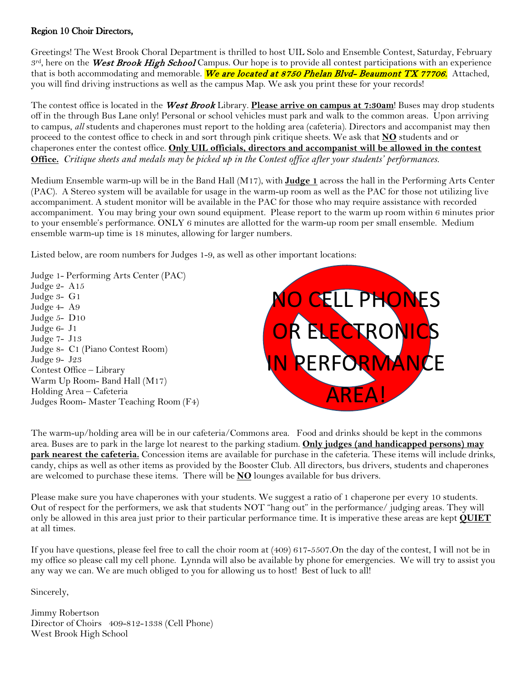#### Region 10 Choir Directors,

Greetings! The West Brook Choral Department is thrilled to host UIL Solo and Ensemble Contest, Saturday, February  $3<sup>rd</sup>$ , here on the West Brook High School Campus. Our hope is to provide all contest participations with an experience that is both accommodating and memorable. We are located at 8750 Phelan Blvd-Beaumont TX 77706. Attached, you will find driving instructions as well as the campus Map. We ask you print these for your records!

The contest office is located in the West Brook Library. **Please arrive on campus at 7:30am**! Buses may drop students off in the through Bus Lane only! Personal or school vehicles must park and walk to the common areas. Upon arriving to campus, *all* students and chaperones must report to the holding area (cafeteria). Directors and accompanist may then proceed to the contest office to check in and sort through pink critique sheets. We ask that **NO** students and or chaperones enter the contest office. **Only UIL officials, directors and accompanist will be allowed in the contest Office.** *Critique sheets and medals may be picked up in the Contest office after your students' performances.*

Medium Ensemble warm-up will be in the Band Hall (M17), with **Judge 1** across the hall in the Performing Arts Center (PAC). A Stereo system will be available for usage in the warm-up room as well as the PAC for those not utilizing live accompaniment. A student monitor will be available in the PAC for those who may require assistance with recorded accompaniment. You may bring your own sound equipment. Please report to the warm up room within 6 minutes prior to your ensemble's performance. ONLY 6 minutes are allotted for the warm-up room per small ensemble. Medium ensemble warm-up time is 18 minutes, allowing for larger numbers.

Listed below, are room numbers for Judges 1-9, as well as other important locations:

Judge 1- Performing Arts Center (PAC) Judge 2- A15 Judge 3- G1 Judge 4- A9 Judge 5- D10 Judge 6- J1 Judge 7- J13 Judge 8- C1 (Piano Contest Room) Judge 9- J23 Contest Office – Library Warm Up Room- Band Hall (M17) Holding Area – Cafeteria Judges Room- Master Teaching Room (F4)



The warm-up/holding area will be in our cafeteria/Commons area. Food and drinks should be kept in the commons area. Buses are to park in the large lot nearest to the parking stadium. **Only judges (and handicapped persons) may park nearest the cafeteria.** Concession items are available for purchase in the cafeteria. These items will include drinks, candy, chips as well as other items as provided by the Booster Club. All directors, bus drivers, students and chaperones are welcomed to purchase these items. There will be **NO** lounges available for bus drivers.

Please make sure you have chaperones with your students. We suggest a ratio of 1 chaperone per every 10 students. Out of respect for the performers, we ask that students NOT "hang out" in the performance/ judging areas. They will only be allowed in this area just prior to their particular performance time. It is imperative these areas are kept **QUIET** at all times.

If you have questions, please feel free to call the choir room at (409) 617-5507.On the day of the contest, I will not be in my office so please call my cell phone. Lynnda will also be available by phone for emergencies. We will try to assist you any way we can. We are much obliged to you for allowing us to host! Best of luck to all!

Sincerely,

Jimmy Robertson Director of Choirs 409-812-1338 (Cell Phone) West Brook High School